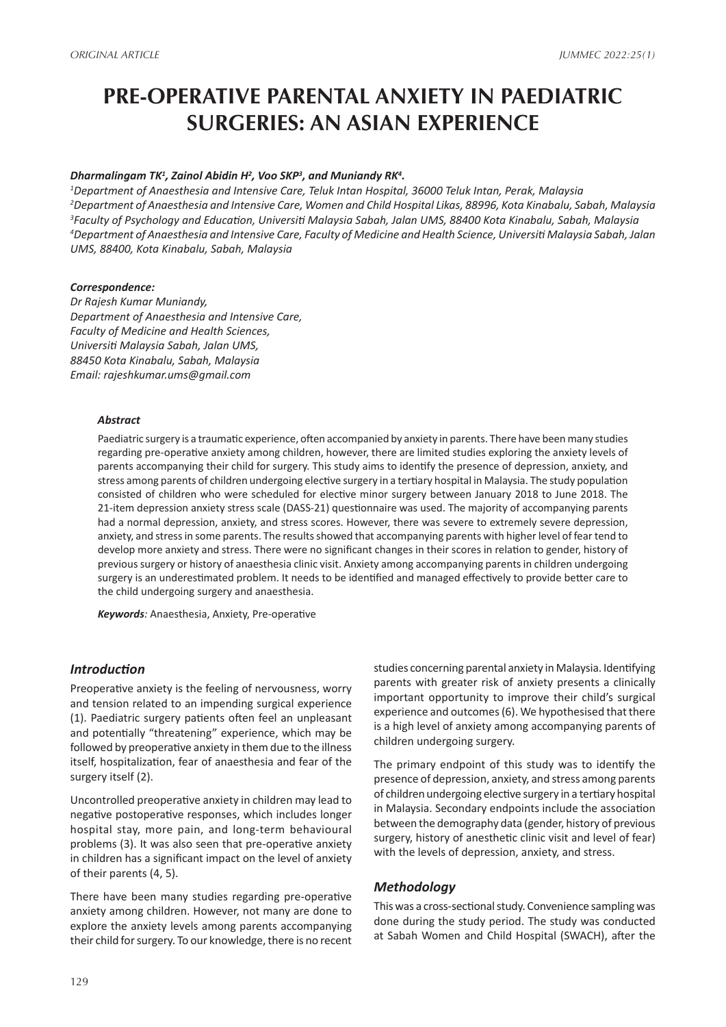# **PRE-OPERATIVE PARENTAL ANXIETY IN PAEDIATRIC SURGERIES: AN ASIAN EXPERIENCE**

## *Dharmalingam TK1 , Zainol Abidin H2 , Voo SKP3 , and Muniandy RK4 .*

 *Department of Anaesthesia and Intensive Care, Teluk Intan Hospital, 36000 Teluk Intan, Perak, Malaysia Department of Anaesthesia and Intensive Care, Women and Child Hospital Likas, 88996, Kota Kinabalu, Sabah, Malaysia Faculty of Psychology and Education, Universiti Malaysia Sabah, Jalan UMS, 88400 Kota Kinabalu, Sabah, Malaysia Department of Anaesthesia and Intensive Care, Faculty of Medicine and Health Science, Universiti Malaysia Sabah, Jalan UMS, 88400, Kota Kinabalu, Sabah, Malaysia*

#### *Correspondence:*

*Dr Rajesh Kumar Muniandy, Department of Anaesthesia and Intensive Care, Faculty of Medicine and Health Sciences, Universiti Malaysia Sabah, Jalan UMS, 88450 Kota Kinabalu, Sabah, Malaysia Email: rajeshkumar.ums@gmail.com*

#### *Abstract*

Paediatric surgery is a traumatic experience, often accompanied by anxiety in parents. There have been many studies regarding pre-operative anxiety among children, however, there are limited studies exploring the anxiety levels of parents accompanying their child for surgery. This study aims to identify the presence of depression, anxiety, and stress among parents of children undergoing elective surgery in a tertiary hospital in Malaysia. The study population consisted of children who were scheduled for elective minor surgery between January 2018 to June 2018. The 21-item depression anxiety stress scale (DASS-21) questionnaire was used. The majority of accompanying parents had a normal depression, anxiety, and stress scores. However, there was severe to extremely severe depression, anxiety, and stress in some parents. The results showed that accompanying parents with higher level of fear tend to develop more anxiety and stress. There were no significant changes in their scores in relation to gender, history of previous surgery or history of anaesthesia clinic visit. Anxiety among accompanying parents in children undergoing surgery is an underestimated problem. It needs to be identified and managed effectively to provide better care to the child undergoing surgery and anaesthesia.

*Keywords:* Anaesthesia, Anxiety, Pre-operative

#### *Introduction*

Preoperative anxiety is the feeling of nervousness, worry and tension related to an impending surgical experience (1). Paediatric surgery patients often feel an unpleasant and potentially "threatening" experience, which may be followed by preoperative anxiety in them due to the illness itself, hospitalization, fear of anaesthesia and fear of the surgery itself (2).

Uncontrolled preoperative anxiety in children may lead to negative postoperative responses, which includes longer hospital stay, more pain, and long-term behavioural problems (3). It was also seen that pre-operative anxiety in children has a significant impact on the level of anxiety of their parents (4, 5).

There have been many studies regarding pre-operative anxiety among children. However, not many are done to explore the anxiety levels among parents accompanying their child for surgery. To our knowledge, there is no recent

studies concerning parental anxiety in Malaysia. Identifying parents with greater risk of anxiety presents a clinically important opportunity to improve their child's surgical experience and outcomes (6). We hypothesised that there is a high level of anxiety among accompanying parents of children undergoing surgery.

The primary endpoint of this study was to identify the presence of depression, anxiety, and stress among parents of children undergoing elective surgery in a tertiary hospital in Malaysia. Secondary endpoints include the association between the demography data (gender, history of previous surgery, history of anesthetic clinic visit and level of fear) with the levels of depression, anxiety, and stress.

## *Methodology*

This was a cross-sectional study. Convenience sampling was done during the study period. The study was conducted at Sabah Women and Child Hospital (SWACH), after the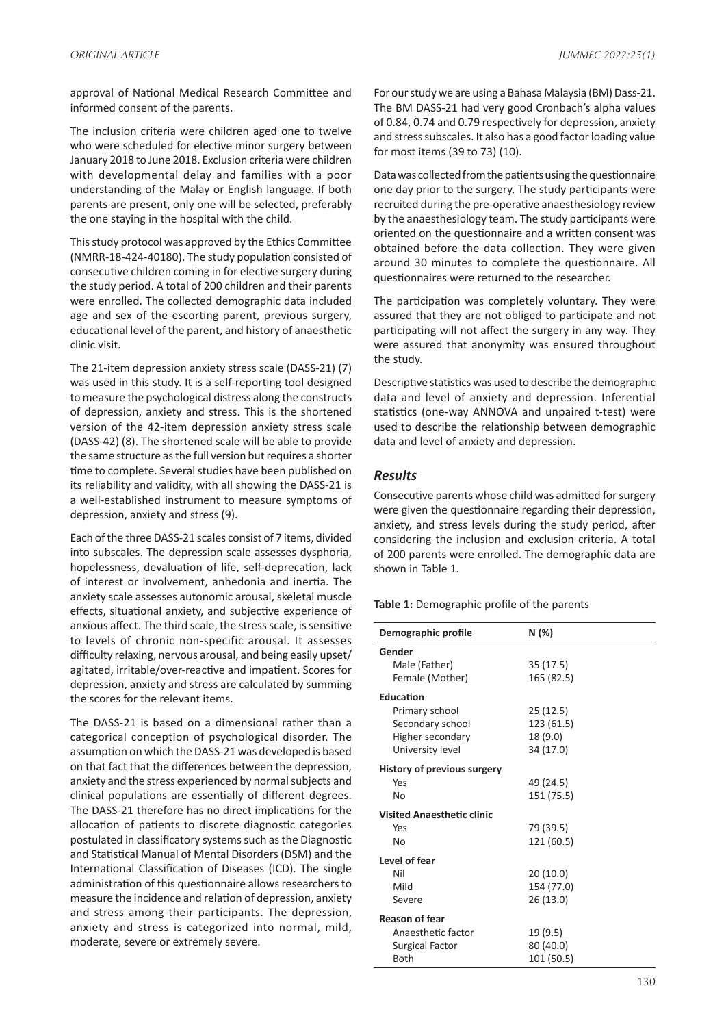approval of National Medical Research Committee and informed consent of the parents.

The inclusion criteria were children aged one to twelve who were scheduled for elective minor surgery between January 2018 to June 2018. Exclusion criteria were children with developmental delay and families with a poor understanding of the Malay or English language. If both parents are present, only one will be selected, preferably the one staying in the hospital with the child.

This study protocol was approved by the Ethics Committee (NMRR-18-424-40180). The study population consisted of consecutive children coming in for elective surgery during the study period. A total of 200 children and their parents were enrolled. The collected demographic data included age and sex of the escorting parent, previous surgery, educational level of the parent, and history of anaesthetic clinic visit.

The 21-item depression anxiety stress scale (DASS-21) (7) was used in this study. It is a self-reporting tool designed to measure the psychological distress along the constructs of depression, anxiety and stress. This is the shortened version of the 42-item depression anxiety stress scale (DASS-42) (8). The shortened scale will be able to provide the same structure as the full version but requires a shorter time to complete. Several studies have been published on its reliability and validity, with all showing the DASS-21 is a well-established instrument to measure symptoms of depression, anxiety and stress (9).

Each of the three DASS-21 scales consist of 7 items, divided into subscales. The depression scale assesses dysphoria, hopelessness, devaluation of life, self-deprecation, lack of interest or involvement, anhedonia and inertia. The anxiety scale assesses autonomic arousal, skeletal muscle effects, situational anxiety, and subjective experience of anxious affect. The third scale, the stress scale, is sensitive to levels of chronic non-specific arousal. It assesses difficulty relaxing, nervous arousal, and being easily upset/ agitated, irritable/over-reactive and impatient. Scores for depression, anxiety and stress are calculated by summing the scores for the relevant items.

The DASS-21 is based on a dimensional rather than a categorical conception of psychological disorder. The assumption on which the DASS-21 was developed is based on that fact that the differences between the depression, anxiety and the stress experienced by normal subjects and clinical populations are essentially of different degrees. The DASS-21 therefore has no direct implications for the allocation of patients to discrete diagnostic categories postulated in classificatory systems such as the Diagnostic and Statistical Manual of Mental Disorders (DSM) and the International Classification of Diseases (ICD). The single administration of this questionnaire allows researchers to measure the incidence and relation of depression, anxiety and stress among their participants. The depression, anxiety and stress is categorized into normal, mild, moderate, severe or extremely severe.

For our study we are using a Bahasa Malaysia (BM) Dass-21. The BM DASS-21 had very good Cronbach's alpha values of 0.84, 0.74 and 0.79 respectively for depression, anxiety and stress subscales. It also has a good factor loading value for most items (39 to 73) (10).

Data was collected from the patients using the questionnaire one day prior to the surgery. The study participants were recruited during the pre-operative anaesthesiology review by the anaesthesiology team. The study participants were oriented on the questionnaire and a written consent was obtained before the data collection. They were given around 30 minutes to complete the questionnaire. All questionnaires were returned to the researcher.

The participation was completely voluntary. They were assured that they are not obliged to participate and not participating will not affect the surgery in any way. They were assured that anonymity was ensured throughout the study.

Descriptive statistics was used to describe the demographic data and level of anxiety and depression. Inferential statistics (one-way ANNOVA and unpaired t-test) were used to describe the relationship between demographic data and level of anxiety and depression.

## *Results*

Consecutive parents whose child was admitted for surgery were given the questionnaire regarding their depression, anxiety, and stress levels during the study period, after considering the inclusion and exclusion criteria. A total of 200 parents were enrolled. The demographic data are shown in Table 1.

**Table 1:** Demographic profile of the parents

| Demographic profile                         | N (%)                 |
|---------------------------------------------|-----------------------|
| Gender                                      |                       |
| Male (Father)                               | 35(17.5)              |
| Female (Mother)                             | 165 (82.5)            |
| <b>Education</b>                            |                       |
| Primary school                              | 25(12.5)              |
| Secondary school                            | 123 (61.5)            |
| Higher secondary                            | 18 (9.0)              |
| University level                            | 34 (17.0)             |
| History of previous surgery                 |                       |
| Yes                                         | 49 (24.5)             |
| No                                          | 151 (75.5)            |
| <b>Visited Anaesthetic clinic</b>           |                       |
| Yes                                         | 79 (39.5)             |
| No                                          | 121 (60.5)            |
| Level of fear                               |                       |
| Nil                                         | 20 (10.0)             |
| Mild                                        | 154 (77.0)            |
| Severe                                      | 26 (13.0)             |
|                                             |                       |
| <b>Reason of fear</b><br>Anaesthetic factor |                       |
| <b>Surgical Factor</b>                      | 19 (9.5)<br>80 (40.0) |
| <b>Both</b>                                 | 101 (50.5)            |
|                                             |                       |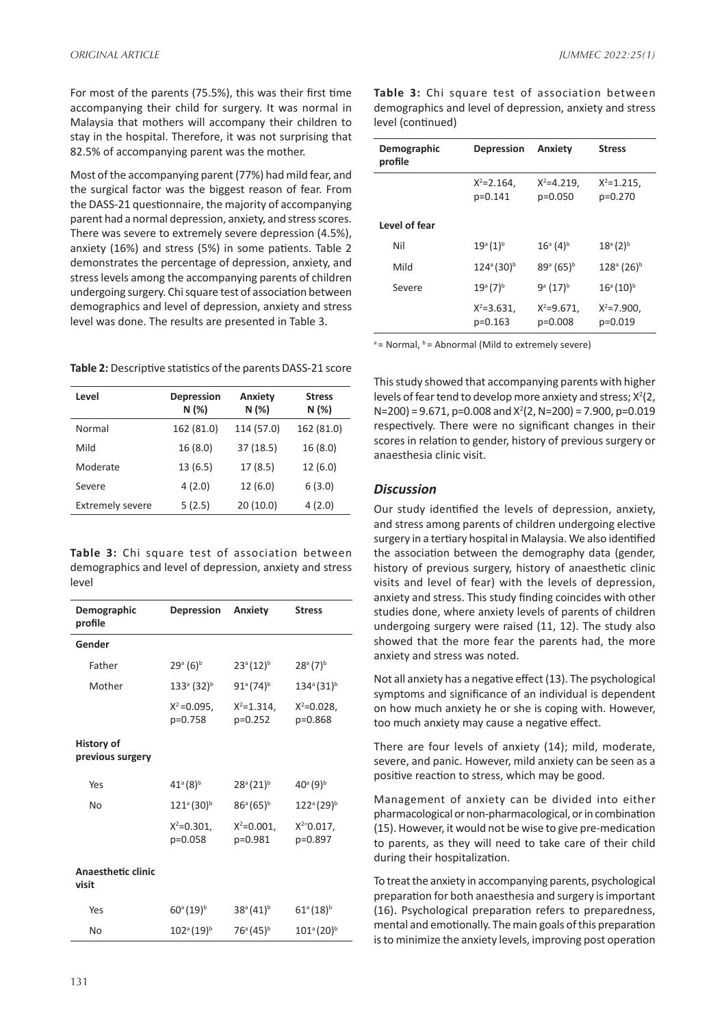For most of the parents (75.5%), this was their first time accompanying their child for surgery. It was normal in Malaysia that mothers will accompany their children to stay in the hospital. Therefore, it was not surprising that 82.5% of accompanying parent was the mother.

Most of the accompanying parent (77%) had mild fear, and the surgical factor was the biggest reason of fear. From the DASS-21 questionnaire, the majority of accompanying parent had a normal depression, anxiety, and stress scores. There was severe to extremely severe depression (4.5%), anxiety (16%) and stress (5%) in some patients. Table 2 demonstrates the percentage of depression, anxiety, and stress levels among the accompanying parents of children undergoing surgery. Chi square test of association between demographics and level of depression, anxiety and stress level was done. The results are presented in Table 3.

**Table 2:** Descriptive statistics of the parents DASS-21 score

| <b>Stress</b><br>N(%) |
|-----------------------|
| 162 (81.0)            |
| 16(8.0)               |
| 12(6.0)               |
| 6(3.0)                |
| 4(2.0)                |
|                       |

**Table 3:** Chi square test of association between demographics and level of depression, anxiety and stress level

| Demographic<br>profile                | <b>Depression</b>               | <b>Anxiety</b>                 | <b>Stress</b>                   |
|---------------------------------------|---------------------------------|--------------------------------|---------------------------------|
| Gender                                |                                 |                                |                                 |
| Father                                | $29^{\circ}$ (6) <sup>b</sup>   | $23^{\circ} (12)^{\circ}$      | $28^{\circ}$ (7) <sup>b</sup>   |
| Mother                                | $133^{\circ}$ (32) <sup>b</sup> | $91^{\circ} (74)^{\circ}$      | $134^{\circ} (31)^{\circ}$      |
|                                       | $X^2 = 0.095$ ,<br>p=0.758      | $X^2 = 1.314$ ,<br>$p=0.252$   | $X^2 = 0.028$<br>p=0.868        |
| <b>History of</b><br>previous surgery |                                 |                                |                                 |
| Yes                                   | $41^{\circ} (8)^{\circ}$        | $28^{\circ}$ (21) <sup>b</sup> | $40^{\circ}$ (9) <sup>b</sup>   |
| No                                    | $121^{\circ}$ (30) <sup>b</sup> | $86^{\circ} (65)^{\circ}$      | $122^{\circ}$ (29) <sup>b</sup> |
|                                       | $X^2 = 0.301$ ,<br>p=0.058      | $X^2 = 0.001$ ,<br>p=0.981     | $X^{2}=0.017$ ,<br>p=0.897      |
| <b>Anaesthetic clinic</b><br>visit    |                                 |                                |                                 |
| Yes                                   | $60^{\circ}$ (19) <sup>b</sup>  | $38^{\circ} (41)^{\circ}$      | $61^{\circ} (18)^{\circ}$       |
| No                                    | $102^{\circ}$ (19) <sup>b</sup> | $76^{\circ} (45)^{\circ}$      | $101^{\circ}$ (20) <sup>b</sup> |
|                                       |                                 |                                |                                 |

**Table 3:** Chi square test of association between demographics and level of depression, anxiety and stress level (continued)

| Demographic<br>profile | <b>Depression</b>            | Anxiety                        | <b>Stress</b>                   |
|------------------------|------------------------------|--------------------------------|---------------------------------|
|                        | $X^2 = 2.164$ ,<br>$p=0.141$ | $X^2 = 4.219$ ,<br>$p=0.050$   | $X^2 = 1.215$ ,<br>$p=0.270$    |
| Level of fear          |                              |                                |                                 |
| Nil                    | $19^{\circ} (1)^{\circ}$     | $16^{\circ}$ (4) <sup>b</sup>  | $18^{\circ} (2)^{\circ}$        |
| Mild                   | $124^{\circ} (30)^{\circ}$   | $89^{\circ}$ (65) <sup>b</sup> | $128^{\circ}$ (26) <sup>b</sup> |
| Severe                 | $19^{\circ} (7)^{\circ}$     | $9^{\circ}$ (17) <sup>b</sup>  | $16^{\circ} (10)^{\circ}$       |
|                        | $X^2 = 3.631$ ,<br>$p=0.163$ | $X^2 = 9.671$ ,<br>p=0.008     | $X^2 = 7.900$ ,<br>p=0.019      |

 $a =$  Normal,  $b =$  Abnormal (Mild to extremely severe)

This study showed that accompanying parents with higher levels of fear tend to develop more anxiety and stress;  $X^2(2)$ ,  $N=200$ ) = 9.671, p=0.008 and  $X^2(2, N=200)$  = 7.900, p=0.019 respectively. There were no significant changes in their scores in relation to gender, history of previous surgery or anaesthesia clinic visit.

# *Discussion*

Our study identified the levels of depression, anxiety, and stress among parents of children undergoing elective surgery in a tertiary hospital in Malaysia. We also identified the association between the demography data (gender, history of previous surgery, history of anaesthetic clinic visits and level of fear) with the levels of depression, anxiety and stress. This study finding coincides with other studies done, where anxiety levels of parents of children undergoing surgery were raised (11, 12). The study also showed that the more fear the parents had, the more anxiety and stress was noted.

Not all anxiety has a negative effect (13). The psychological symptoms and significance of an individual is dependent on how much anxiety he or she is coping with. However, too much anxiety may cause a negative effect.

There are four levels of anxiety (14); mild, moderate, severe, and panic. However, mild anxiety can be seen as a positive reaction to stress, which may be good.

Management of anxiety can be divided into either pharmacological or non-pharmacological, or in combination (15). However, it would not be wise to give pre-medication to parents, as they will need to take care of their child during their hospitalization.

To treat the anxiety in accompanying parents, psychological preparation for both anaesthesia and surgery is important (16). Psychological preparation refers to preparedness, mental and emotionally. The main goals of this preparation is to minimize the anxiety levels, improving post operation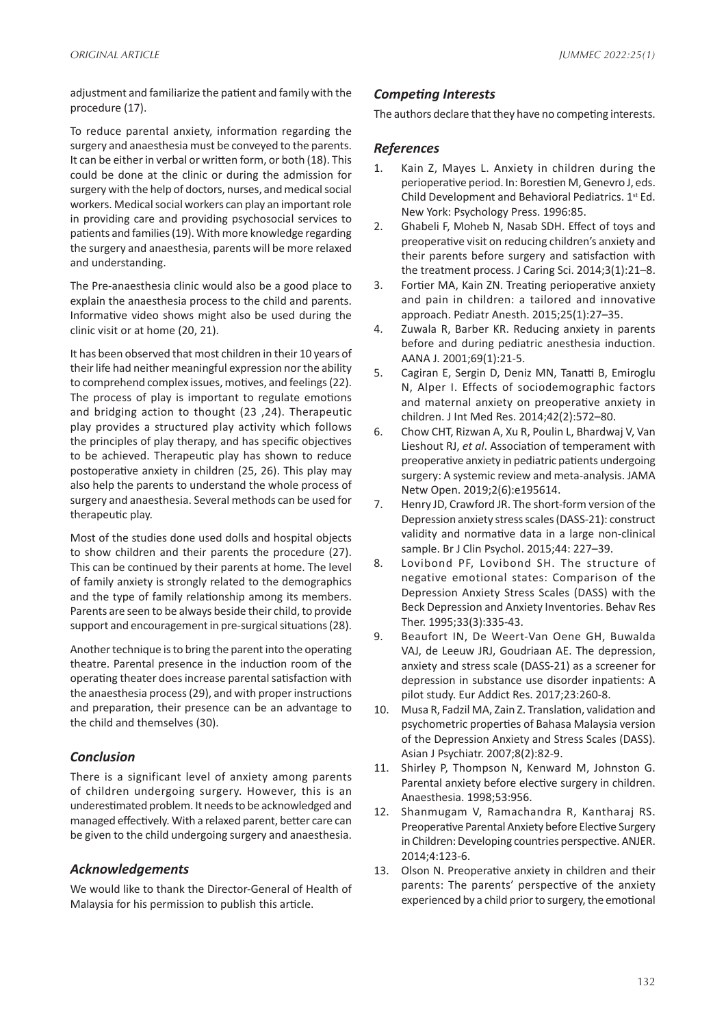adjustment and familiarize the patient and family with the procedure (17).

To reduce parental anxiety, information regarding the surgery and anaesthesia must be conveyed to the parents. It can be either in verbal or written form, or both (18). This could be done at the clinic or during the admission for surgery with the help of doctors, nurses, and medical social workers. Medical social workers can play an important role in providing care and providing psychosocial services to patients and families (19). With more knowledge regarding the surgery and anaesthesia, parents will be more relaxed and understanding.

The Pre-anaesthesia clinic would also be a good place to explain the anaesthesia process to the child and parents. Informative video shows might also be used during the clinic visit or at home (20, 21).

It has been observed that most children in their 10 years of their life had neither meaningful expression nor the ability to comprehend complex issues, motives, and feelings (22). The process of play is important to regulate emotions and bridging action to thought (23 ,24). Therapeutic play provides a structured play activity which follows the principles of play therapy, and has specific objectives to be achieved. Therapeutic play has shown to reduce postoperative anxiety in children (25, 26). This play may also help the parents to understand the whole process of surgery and anaesthesia. Several methods can be used for therapeutic play.

Most of the studies done used dolls and hospital objects to show children and their parents the procedure (27). This can be continued by their parents at home. The level of family anxiety is strongly related to the demographics and the type of family relationship among its members. Parents are seen to be always beside their child, to provide support and encouragement in pre-surgical situations (28).

Another technique is to bring the parent into the operating theatre. Parental presence in the induction room of the operating theater does increase parental satisfaction with the anaesthesia process (29), and with proper instructions and preparation, their presence can be an advantage to the child and themselves (30).

# *Conclusion*

There is a significant level of anxiety among parents of children undergoing surgery. However, this is an underestimated problem. It needs to be acknowledged and managed effectively. With a relaxed parent, better care can be given to the child undergoing surgery and anaesthesia.

# *Acknowledgements*

We would like to thank the Director-General of Health of Malaysia for his permission to publish this article.

# *Competing Interests*

The authors declare that they have no competing interests.

# *References*

- 1. Kain Z, Mayes L. Anxiety in children during the perioperative period. In: Borestien M, Genevro J, eds. Child Development and Behavioral Pediatrics. 1st Ed. New York: Psychology Press. 1996:85.
- 2. Ghabeli F, Moheb N, Nasab SDH. Effect of toys and preoperative visit on reducing children's anxiety and their parents before surgery and satisfaction with the treatment process. J Caring Sci. 2014;3(1):21–8.
- 3. Fortier MA, Kain ZN. Treating perioperative anxiety and pain in children: a tailored and innovative approach. Pediatr Anesth. 2015;25(1):27–35.
- 4. Zuwala R, Barber KR. Reducing anxiety in parents before and during pediatric anesthesia induction. AANA J. 2001;69(1):21-5.
- 5. Cagiran E, Sergin D, Deniz MN, Tanatti B, Emiroglu N, Alper I. Effects of sociodemographic factors and maternal anxiety on preoperative anxiety in children. J Int Med Res. 2014;42(2):572–80.
- 6. Chow CHT, Rizwan A, Xu R, Poulin L, Bhardwaj V, Van Lieshout RJ, *et al*. Association of temperament with preoperative anxiety in pediatric patients undergoing surgery: A systemic review and meta-analysis. JAMA Netw Open. 2019;2(6):e195614.
- 7. Henry JD, Crawford JR. The short-form version of the Depression anxiety stress scales (DASS-21): construct validity and normative data in a large non-clinical sample. Br J Clin Psychol. 2015;44: 227–39.
- 8. Lovibond PF, Lovibond SH. The structure of negative emotional states: Comparison of the Depression Anxiety Stress Scales (DASS) with the Beck Depression and Anxiety Inventories. Behav Res Ther. 1995;33(3):335-43.
- 9. Beaufort IN, De Weert-Van Oene GH, Buwalda VAJ, de Leeuw JRJ, Goudriaan AE. The depression, anxiety and stress scale (DASS-21) as a screener for depression in substance use disorder inpatients: A pilot study. Eur Addict Res. 2017;23:260-8.
- 10. Musa R, Fadzil MA, Zain Z. Translation, validation and psychometric properties of Bahasa Malaysia version of the Depression Anxiety and Stress Scales (DASS). Asian J Psychiatr. 2007;8(2):82-9.
- 11. Shirley P, Thompson N, Kenward M, Johnston G. Parental anxiety before elective surgery in children. Anaesthesia. 1998;53:956.
- 12. Shanmugam V, Ramachandra R, Kantharaj RS. Preoperative Parental Anxiety before Elective Surgery in Children: Developing countries perspective. ANJER. 2014;4:123-6.
- 13. Olson N. Preoperative anxiety in children and their parents: The parents' perspective of the anxiety experienced by a child prior to surgery, the emotional